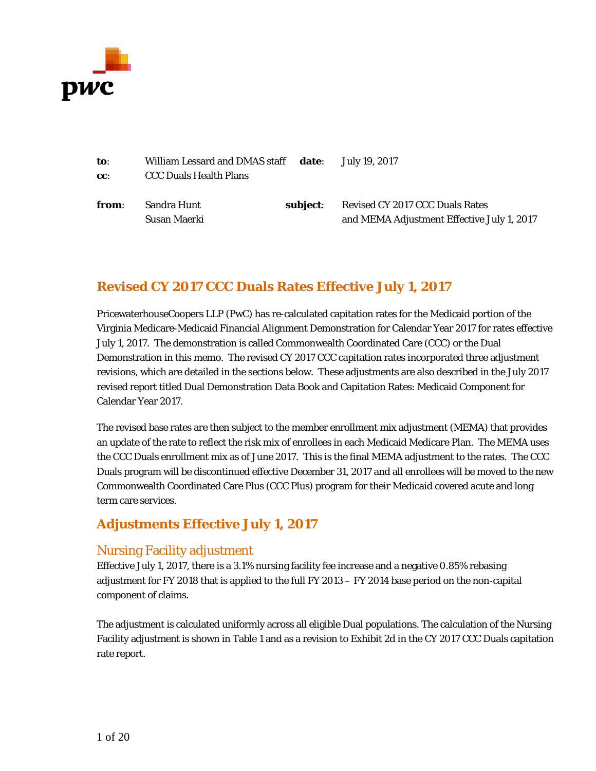

| to:   | William Lessard and DMAS staff date: July 19, 2017 |          |                                            |
|-------|----------------------------------------------------|----------|--------------------------------------------|
| CC:   | <b>CCC Duals Health Plans</b>                      |          |                                            |
| from: | Sandra Hunt                                        | subject: | Revised CY 2017 CCC Duals Rates            |
|       | Susan Maerki                                       |          | and MEMA Adjustment Effective July 1, 2017 |

# **Revised CY 2017 CCC Duals Rates Effective July 1, 2017**

PricewaterhouseCoopers LLP (PwC) has re-calculated capitation rates for the Medicaid portion of the Virginia Medicare-Medicaid Financial Alignment Demonstration for Calendar Year 2017 for rates effective July 1, 2017. The demonstration is called Commonwealth Coordinated Care (CCC) or the Dual Demonstration in this memo. The revised CY 2017 CCC capitation rates incorporated three adjustment revisions, which are detailed in the sections below. These adjustments are also described in the July 2017 revised report titled Dual Demonstration Data Book and Capitation Rates: Medicaid Component for Calendar Year 2017.

The revised base rates are then subject to the member enrollment mix adjustment (MEMA) that provides an update of the rate to reflect the risk mix of enrollees in each Medicaid Medicare Plan. The MEMA uses the CCC Duals enrollment mix as of June 2017. This is the final MEMA adjustment to the rates. The CCC Duals program will be discontinued effective December 31, 2017 and all enrollees will be moved to the new Commonwealth Coordinated Care Plus (CCC Plus) program for their Medicaid covered acute and long term care services.

# **Adjustments Effective July 1, 2017**

# Nursing Facility adjustment

Effective July 1, 2017, there is a 3.1% nursing facility fee increase and a negative 0.85% rebasing adjustment for FY 2018 that is applied to the full FY 2013 – FY 2014 base period on the non-capital component of claims.

The adjustment is calculated uniformly across all eligible Dual populations. The calculation of the Nursing Facility adjustment is shown in Table 1 and as a revision to Exhibit 2d in the CY 2017 CCC Duals capitation rate report.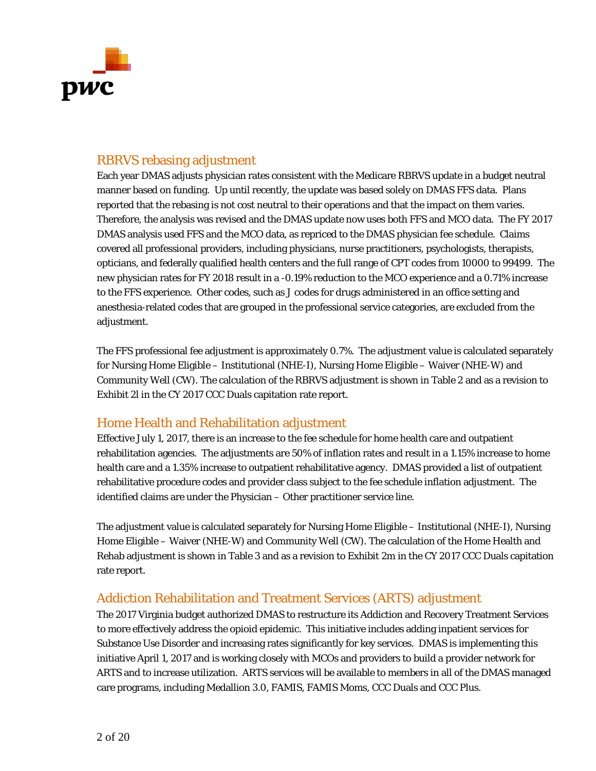

## RBRVS rebasing adjustment

Each year DMAS adjusts physician rates consistent with the Medicare RBRVS update in a budget neutral manner based on funding. Up until recently, the update was based solely on DMAS FFS data. Plans reported that the rebasing is not cost neutral to their operations and that the impact on them varies. Therefore, the analysis was revised and the DMAS update now uses both FFS and MCO data. The FY 2017 DMAS analysis used FFS and the MCO data, as repriced to the DMAS physician fee schedule. Claims covered all professional providers, including physicians, nurse practitioners, psychologists, therapists, opticians, and federally qualified health centers and the full range of CPT codes from 10000 to 99499. The new physician rates for FY 2018 result in a -0.19% reduction to the MCO experience and a 0.71% increase to the FFS experience. Other codes, such as J codes for drugs administered in an office setting and anesthesia-related codes that are grouped in the professional service categories, are excluded from the adjustment.

The FFS professional fee adjustment is approximately 0.7%. The adjustment value is calculated separately for Nursing Home Eligible – Institutional (NHE-I), Nursing Home Eligible – Waiver (NHE-W) and Community Well (CW). The calculation of the RBRVS adjustment is shown in Table 2 and as a revision to Exhibit 2l in the CY 2017 CCC Duals capitation rate report.

### Home Health and Rehabilitation adjustment

Effective July 1, 2017, there is an increase to the fee schedule for home health care and outpatient rehabilitation agencies. The adjustments are 50% of inflation rates and result in a 1.15% increase to home health care and a 1.35% increase to outpatient rehabilitative agency. DMAS provided a list of outpatient rehabilitative procedure codes and provider class subject to the fee schedule inflation adjustment. The identified claims are under the Physician – Other practitioner service line.

The adjustment value is calculated separately for Nursing Home Eligible – Institutional (NHE-I), Nursing Home Eligible – Waiver (NHE-W) and Community Well (CW). The calculation of the Home Health and Rehab adjustment is shown in Table 3 and as a revision to Exhibit 2m in the CY 2017 CCC Duals capitation rate report.

# Addiction Rehabilitation and Treatment Services (ARTS) adjustment

The 2017 Virginia budget authorized DMAS to restructure its Addiction and Recovery Treatment Services to more effectively address the opioid epidemic. This initiative includes adding inpatient services for Substance Use Disorder and increasing rates significantly for key services. DMAS is implementing this initiative April 1, 2017 and is working closely with MCOs and providers to build a provider network for ARTS and to increase utilization. ARTS services will be available to members in all of the DMAS managed care programs, including Medallion 3.0, FAMIS, FAMIS Moms, CCC Duals and CCC Plus.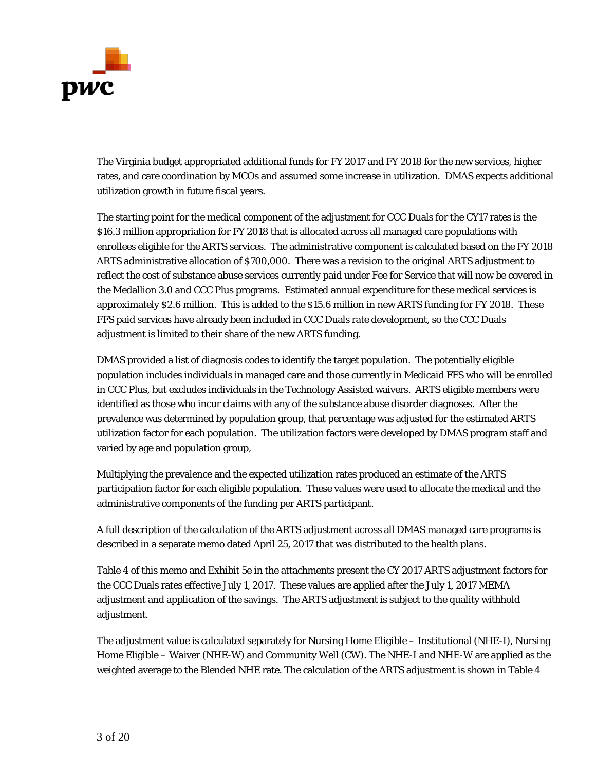

The Virginia budget appropriated additional funds for FY 2017 and FY 2018 for the new services, higher rates, and care coordination by MCOs and assumed some increase in utilization. DMAS expects additional utilization growth in future fiscal years.

The starting point for the medical component of the adjustment for CCC Duals for the CY17 rates is the \$16.3 million appropriation for FY 2018 that is allocated across all managed care populations with enrollees eligible for the ARTS services. The administrative component is calculated based on the FY 2018 ARTS administrative allocation of \$700,000. There was a revision to the original ARTS adjustment to reflect the cost of substance abuse services currently paid under Fee for Service that will now be covered in the Medallion 3.0 and CCC Plus programs. Estimated annual expenditure for these medical services is approximately \$2.6 million. This is added to the \$15.6 million in new ARTS funding for FY 2018. These FFS paid services have already been included in CCC Duals rate development, so the CCC Duals adjustment is limited to their share of the new ARTS funding.

DMAS provided a list of diagnosis codes to identify the target population. The potentially eligible population includes individuals in managed care and those currently in Medicaid FFS who will be enrolled in CCC Plus, but excludes individuals in the Technology Assisted waivers. ARTS eligible members were identified as those who incur claims with any of the substance abuse disorder diagnoses. After the prevalence was determined by population group, that percentage was adjusted for the estimated ARTS utilization factor for each population. The utilization factors were developed by DMAS program staff and varied by age and population group,

Multiplying the prevalence and the expected utilization rates produced an estimate of the ARTS participation factor for each eligible population. These values were used to allocate the medical and the administrative components of the funding per ARTS participant.

A full description of the calculation of the ARTS adjustment across all DMAS managed care programs is described in a separate memo dated April 25, 2017 that was distributed to the health plans.

Table 4 of this memo and Exhibit 5e in the attachments present the CY 2017 ARTS adjustment factors for the CCC Duals rates effective July 1, 2017. These values are applied after the July 1, 2017 MEMA adjustment and application of the savings. The ARTS adjustment is subject to the quality withhold adjustment.

The adjustment value is calculated separately for Nursing Home Eligible – Institutional (NHE-I), Nursing Home Eligible – Waiver (NHE-W) and Community Well (CW). The NHE-I and NHE-W are applied as the weighted average to the Blended NHE rate. The calculation of the ARTS adjustment is shown in Table 4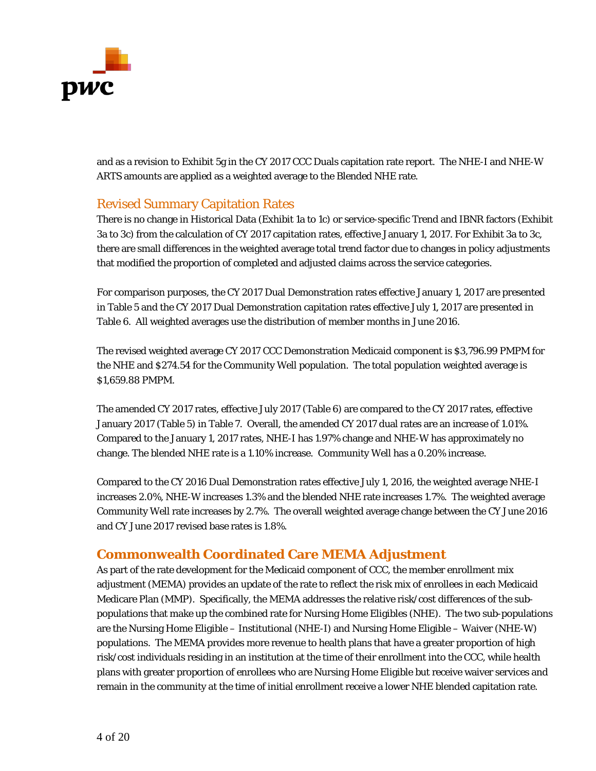

and as a revision to Exhibit 5g in the CY 2017 CCC Duals capitation rate report. The NHE-I and NHE-W ARTS amounts are applied as a weighted average to the Blended NHE rate.

## Revised Summary Capitation Rates

There is no change in Historical Data (Exhibit 1a to 1c) or service-specific Trend and IBNR factors (Exhibit 3a to 3c) from the calculation of CY 2017 capitation rates, effective January 1, 2017. For Exhibit 3a to 3c, there are small differences in the weighted average total trend factor due to changes in policy adjustments that modified the proportion of completed and adjusted claims across the service categories.

For comparison purposes, the CY 2017 Dual Demonstration rates effective January 1, 2017 are presented in Table 5 and the CY 2017 Dual Demonstration capitation rates effective July 1, 2017 are presented in Table 6. All weighted averages use the distribution of member months in June 2016.

The revised weighted average CY 2017 CCC Demonstration Medicaid component is \$3,796.99 PMPM for the NHE and \$274.54 for the Community Well population. The total population weighted average is \$1,659.88 PMPM.

The amended CY 2017 rates, effective July 2017 (Table 6) are compared to the CY 2017 rates, effective January 2017 (Table 5) in Table 7. Overall, the amended CY 2017 dual rates are an increase of 1.01%. Compared to the January 1, 2017 rates, NHE-I has 1.97% change and NHE-W has approximately no change. The blended NHE rate is a 1.10% increase. Community Well has a 0.20% increase.

Compared to the CY 2016 Dual Demonstration rates effective July 1, 2016, the weighted average NHE-I increases 2.0%, NHE-W increases 1.3% and the blended NHE rate increases 1.7%. The weighted average Community Well rate increases by 2.7%. The overall weighted average change between the CY June 2016 and CY June 2017 revised base rates is 1.8%.

### **Commonwealth Coordinated Care MEMA Adjustment**

As part of the rate development for the Medicaid component of CCC, the member enrollment mix adjustment (MEMA) provides an update of the rate to reflect the risk mix of enrollees in each Medicaid Medicare Plan (MMP). Specifically, the MEMA addresses the relative risk/cost differences of the subpopulations that make up the combined rate for Nursing Home Eligibles (NHE). The two sub-populations are the Nursing Home Eligible – Institutional (NHE-I) and Nursing Home Eligible – Waiver (NHE-W) populations. The MEMA provides more revenue to health plans that have a greater proportion of high risk/cost individuals residing in an institution at the time of their enrollment into the CCC, while health plans with greater proportion of enrollees who are Nursing Home Eligible but receive waiver services and remain in the community at the time of initial enrollment receive a lower NHE blended capitation rate.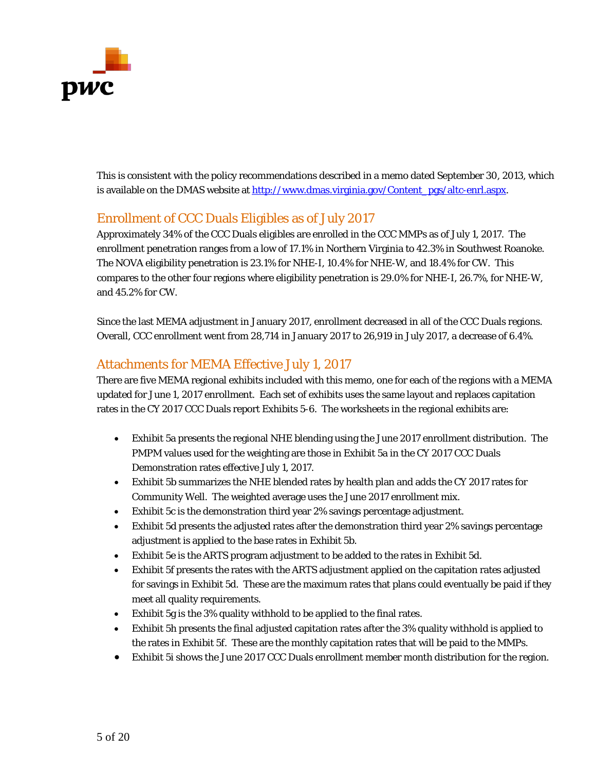

This is consistent with the policy recommendations described in a memo dated September 30, 2013, which is available on the DMAS website at [http://www.dmas.virginia.gov/Content\\_pgs/altc-enrl.aspx.](http://www.dmas.virginia.gov/Content_pgs/altc-enrl.aspx)

# Enrollment of CCC Duals Eligibles as of July 2017

Approximately 34% of the CCC Duals eligibles are enrolled in the CCC MMPs as of July 1, 2017. The enrollment penetration ranges from a low of 17.1% in Northern Virginia to 42.3% in Southwest Roanoke. The NOVA eligibility penetration is 23.1% for NHE-I, 10.4% for NHE-W, and 18.4% for CW. This compares to the other four regions where eligibility penetration is 29.0% for NHE-I, 26.7%, for NHE-W, and 45.2% for CW.

Since the last MEMA adjustment in January 2017, enrollment decreased in all of the CCC Duals regions. Overall, CCC enrollment went from 28,714 in January 2017 to 26,919 in July 2017, a decrease of 6.4%.

## Attachments for MEMA Effective July 1, 2017

There are five MEMA regional exhibits included with this memo, one for each of the regions with a MEMA updated for June 1, 2017 enrollment. Each set of exhibits uses the same layout and replaces capitation rates in the CY 2017 CCC Duals report Exhibits 5-6. The worksheets in the regional exhibits are:

- Exhibit 5a presents the regional NHE blending using the June 2017 enrollment distribution. The PMPM values used for the weighting are those in Exhibit 5a in the CY 2017 CCC Duals Demonstration rates effective July 1, 2017.
- Exhibit 5b summarizes the NHE blended rates by health plan and adds the CY 2017 rates for Community Well. The weighted average uses the June 2017 enrollment mix.
- Exhibit 5c is the demonstration third year 2% savings percentage adjustment.
- Exhibit 5d presents the adjusted rates after the demonstration third year 2% savings percentage adjustment is applied to the base rates in Exhibit 5b.
- Exhibit 5e is the ARTS program adjustment to be added to the rates in Exhibit 5d.
- Exhibit 5f presents the rates with the ARTS adjustment applied on the capitation rates adjusted for savings in Exhibit 5d. These are the maximum rates that plans could eventually be paid if they meet all quality requirements.
- Exhibit 5g is the 3% quality withhold to be applied to the final rates.
- Exhibit 5h presents the final adjusted capitation rates after the 3% quality withhold is applied to the rates in Exhibit 5f. These are the monthly capitation rates that will be paid to the MMPs.
- Exhibit 5i shows the June 2017 CCC Duals enrollment member month distribution for the region.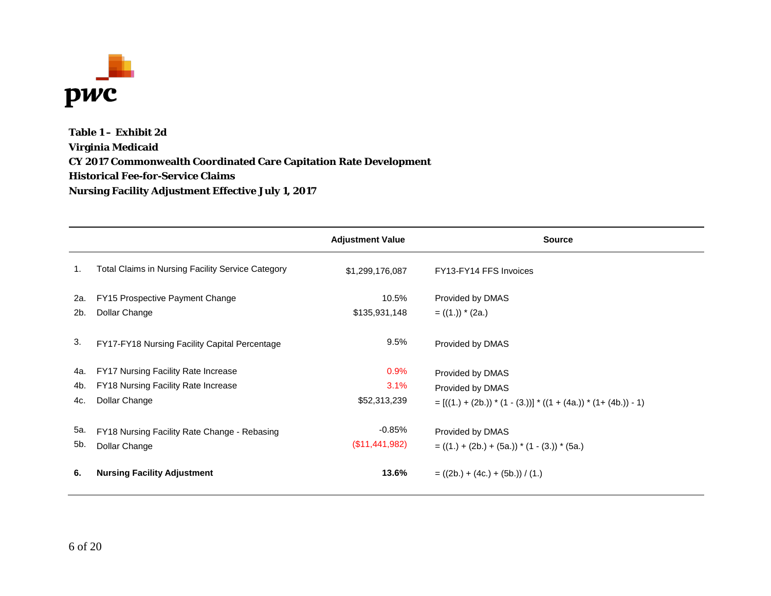

**Table 1 – Exhibit 2d Virginia Medicaid CY 2017 Commonwealth Coordinated Care Capitation Rate Development Historical Fee-for-Service Claims Nursing Facility Adjustment Effective July 1, 2017**

|     |                                                          | <b>Adjustment Value</b> | <b>Source</b>                                                       |
|-----|----------------------------------------------------------|-------------------------|---------------------------------------------------------------------|
| 1.  | <b>Total Claims in Nursing Facility Service Category</b> | \$1,299,176,087         | FY13-FY14 FFS Invoices                                              |
| 2a. | FY15 Prospective Payment Change                          | 10.5%                   | Provided by DMAS                                                    |
| 2b. | Dollar Change                                            | \$135,931,148           | $= ((1.))$ * (2a.)                                                  |
| 3.  | FY17-FY18 Nursing Facility Capital Percentage            | 9.5%                    | Provided by DMAS                                                    |
| 4a. | FY17 Nursing Facility Rate Increase                      | 0.9%                    | Provided by DMAS                                                    |
| 4b. | FY18 Nursing Facility Rate Increase                      | 3.1%                    | Provided by DMAS                                                    |
| 4c. | Dollar Change                                            | \$52,313,239            | $= [((1.) + (2b.)) * (1 - (3.))] * ((1 + (4a.)) * (1 + (4b.)) - 1)$ |
| 5a. | FY18 Nursing Facility Rate Change - Rebasing             | $-0.85%$                | Provided by DMAS                                                    |
| 5b. | Dollar Change                                            | (\$11,441,982)          | $= ((1.) + (2b.) + (5a.)) * (1 - (3.)) * (5a.)$                     |
| 6.  | <b>Nursing Facility Adjustment</b>                       | 13.6%                   | $= ((2b.) + (4c.) + (5b.)) / (1.)$                                  |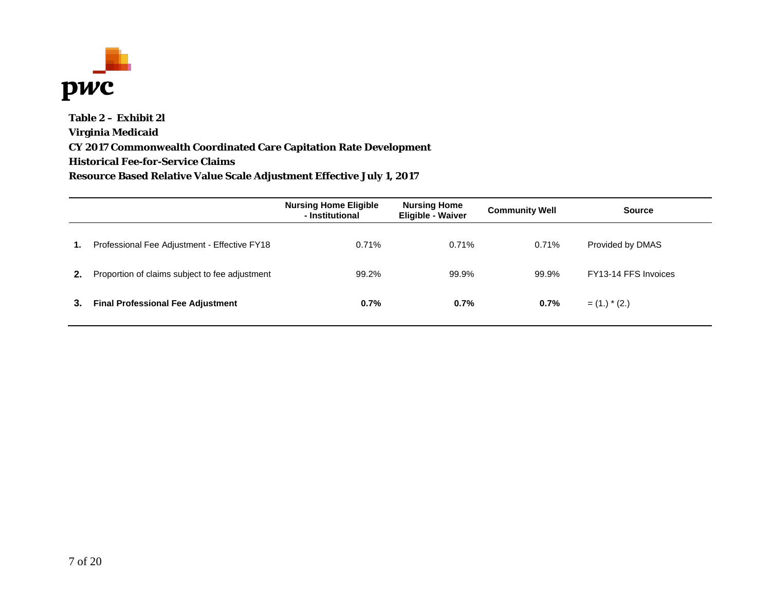

**Table 2 – Exhibit 2l Virginia Medicaid CY 2017 Commonwealth Coordinated Care Capitation Rate Development Historical Fee-for-Service Claims Resource Based Relative Value Scale Adjustment Effective July 1, 2017**

|    |                                                | <b>Nursing Home Eligible</b><br>- Institutional | <b>Nursing Home</b><br><b>Eligible - Waiver</b> | <b>Community Well</b> | <b>Source</b>        |
|----|------------------------------------------------|-------------------------------------------------|-------------------------------------------------|-----------------------|----------------------|
| 1. | Professional Fee Adjustment - Effective FY18   | 0.71%                                           | 0.71%                                           | 0.71%                 | Provided by DMAS     |
| 2. | Proportion of claims subject to fee adjustment | 99.2%                                           | 99.9%                                           | 99.9%                 | FY13-14 FFS Invoices |
| 3. | <b>Final Professional Fee Adjustment</b>       | 0.7%                                            | 0.7%                                            | 0.7%                  | $=$ (1.) $*$ (2.)    |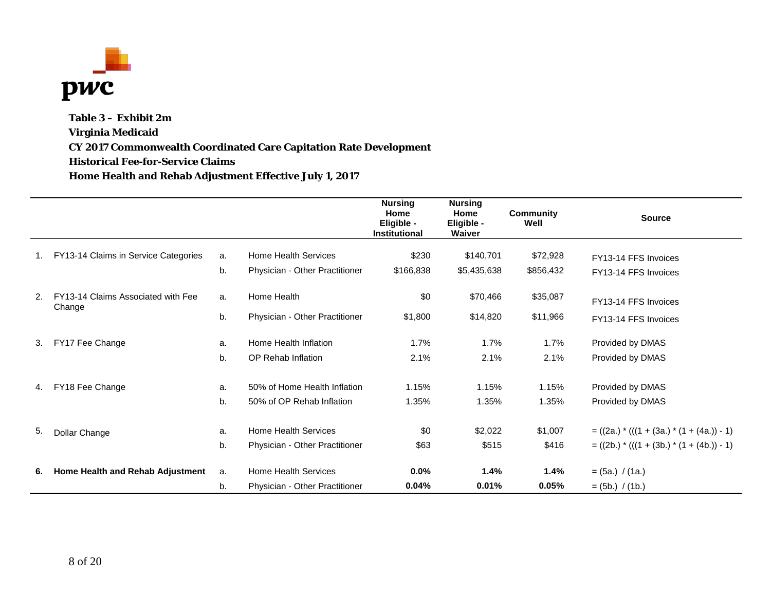

**Table 3 – Exhibit 2m Virginia Medicaid CY 2017 Commonwealth Coordinated Care Capitation Rate Development Historical Fee-for-Service Claims Home Health and Rehab Adjustment Effective July 1, 2017**

|    |                                      |    |                                | <b>Nursing</b><br>Home<br>Eligible -<br><b>Institutional</b> | <b>Nursing</b><br>Home<br>Eligible -<br>Waiver | <b>Community</b><br>Well | <b>Source</b>                                 |
|----|--------------------------------------|----|--------------------------------|--------------------------------------------------------------|------------------------------------------------|--------------------------|-----------------------------------------------|
|    | FY13-14 Claims in Service Categories | a. | Home Health Services           | \$230                                                        | \$140,701                                      | \$72,928                 | FY13-14 FFS Invoices                          |
|    |                                      | b. | Physician - Other Practitioner | \$166,838                                                    | \$5,435,638                                    | \$856,432                | FY13-14 FFS Invoices                          |
| 2. | FY13-14 Claims Associated with Fee   | a. | Home Health                    | \$0                                                          | \$70,466                                       | \$35,087                 | FY13-14 FFS Invoices                          |
|    | Change                               | b. | Physician - Other Practitioner | \$1,800                                                      | \$14,820                                       | \$11,966                 | FY13-14 FFS Invoices                          |
| 3. | FY17 Fee Change                      | a. | Home Health Inflation          | 1.7%                                                         | 1.7%                                           | 1.7%                     | Provided by DMAS                              |
|    |                                      | b. | OP Rehab Inflation             | 2.1%                                                         | 2.1%                                           | 2.1%                     | Provided by DMAS                              |
| 4. | FY18 Fee Change                      | a. | 50% of Home Health Inflation   | 1.15%                                                        | 1.15%                                          | 1.15%                    | Provided by DMAS                              |
|    |                                      | b. | 50% of OP Rehab Inflation      | 1.35%                                                        | 1.35%                                          | 1.35%                    | Provided by DMAS                              |
| 5. | Dollar Change                        | a. | Home Health Services           | \$0                                                          | \$2,022                                        | \$1,007                  | $= ((2a.) * (((1 + (3a.) * (1 + (4a.)) - 1))$ |
|    |                                      | b. | Physician - Other Practitioner | \$63                                                         | \$515                                          | \$416                    | $= ((2b.) * (((1 + (3b.) * (1 + (4b.)) - 1))$ |
| 6. | Home Health and Rehab Adjustment     | a. | Home Health Services           | $0.0\%$                                                      | 1.4%                                           | 1.4%                     | $= (5a.) / (1a.)$                             |
|    |                                      | b. | Physician - Other Practitioner | 0.04%                                                        | 0.01%                                          | 0.05%                    | $=$ (5b.) / (1b.)                             |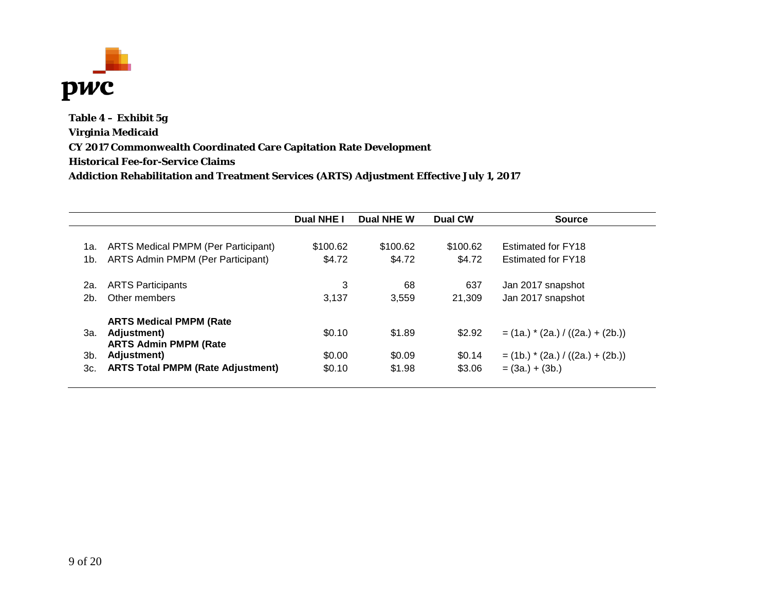

**Table 4 – Exhibit 5g Virginia Medicaid CY 2017 Commonwealth Coordinated Care Capitation Rate Development Historical Fee-for-Service Claims Addiction Rehabilitation and Treatment Services (ARTS) Adjustment Effective July 1, 2017**

|     |                                             | Dual NHE I | Dual NHE W | <b>Dual CW</b> | <b>Source</b>                        |
|-----|---------------------------------------------|------------|------------|----------------|--------------------------------------|
| 1а. | <b>ARTS Medical PMPM (Per Participant)</b>  | \$100.62   | \$100.62   | \$100.62       | Estimated for FY18                   |
| 1b. | ARTS Admin PMPM (Per Participant)           | \$4.72     | \$4.72     | \$4.72         | Estimated for FY18                   |
| 2а. | <b>ARTS Participants</b>                    | 3          | 68         | 637            | Jan 2017 snapshot                    |
| 2b. | Other members                               | 3.137      | 3.559      | 21.309         | Jan 2017 snapshot                    |
|     | <b>ARTS Medical PMPM (Rate</b>              |            |            |                |                                      |
| За. | Adjustment)<br><b>ARTS Admin PMPM (Rate</b> | \$0.10     | \$1.89     | \$2.92         | $=$ (1a.) $*(2a.) / ((2a.) + (2b.))$ |
| 3b. | Adjustment)                                 | \$0.00     | \$0.09     | \$0.14         | $=$ (1b.) $*(2a.) / ((2a.) + (2b.))$ |
| 3c. | <b>ARTS Total PMPM (Rate Adjustment)</b>    | \$0.10     | \$1.98     | \$3.06         | $= (3a.) + (3b.)$                    |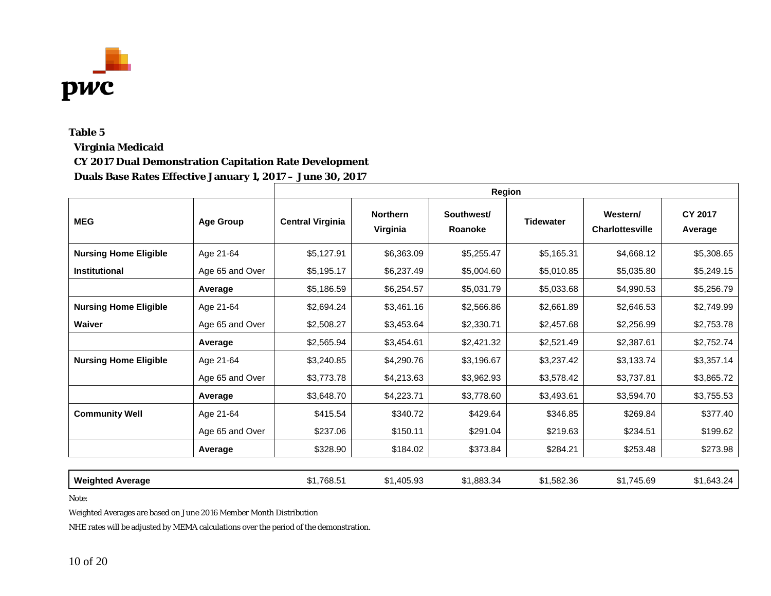

#### **Virginia Medicaid**

#### **CY 2017 Dual Demonstration Capitation Rate Development**

**Duals Base Rates Effective January 1, 2017 – June 30, 2017**

|                              |                  | <b>Region</b>           |                             |                       |                  |                                    |                           |  |
|------------------------------|------------------|-------------------------|-----------------------------|-----------------------|------------------|------------------------------------|---------------------------|--|
| <b>MEG</b>                   | <b>Age Group</b> | <b>Central Virginia</b> | <b>Northern</b><br>Virginia | Southwest/<br>Roanoke | <b>Tidewater</b> | Western/<br><b>Charlottesville</b> | <b>CY 2017</b><br>Average |  |
| <b>Nursing Home Eligible</b> | Age 21-64        | \$5,127.91              | \$6,363.09                  | \$5,255.47            | \$5,165.31       | \$4,668.12                         | \$5,308.65                |  |
| <b>Institutional</b>         | Age 65 and Over  | \$5,195.17              | \$6,237.49                  | \$5,004.60            | \$5,010.85       | \$5,035.80                         | \$5,249.15                |  |
|                              | Average          | \$5,186.59              | \$6,254.57                  | \$5,031.79            | \$5,033.68       | \$4,990.53                         | \$5,256.79                |  |
| <b>Nursing Home Eligible</b> | Age 21-64        | \$2,694.24              | \$3,461.16                  | \$2,566.86            | \$2,661.89       | \$2,646.53                         | \$2,749.99                |  |
| Waiver                       | Age 65 and Over  | \$2,508.27              | \$3,453.64                  | \$2,330.71            | \$2,457.68       | \$2,256.99                         | \$2,753.78                |  |
|                              | Average          | \$2,565.94              | \$3,454.61                  | \$2,421.32            | \$2,521.49       | \$2,387.61                         | \$2,752.74                |  |
| <b>Nursing Home Eligible</b> | Age 21-64        | \$3,240.85              | \$4,290.76                  | \$3,196.67            | \$3,237.42       | \$3,133.74                         | \$3,357.14                |  |
|                              | Age 65 and Over  | \$3,773.78              | \$4,213.63                  | \$3,962.93            | \$3,578.42       | \$3,737.81                         | \$3,865.72                |  |
|                              | Average          | \$3,648.70              | \$4,223.71                  | \$3,778.60            | \$3,493.61       | \$3,594.70                         | \$3,755.53                |  |
| <b>Community Well</b>        | Age 21-64        | \$415.54                | \$340.72                    | \$429.64              | \$346.85         | \$269.84                           | \$377.40                  |  |
|                              | Age 65 and Over  | \$237.06                | \$150.11                    | \$291.04              | \$219.63         | \$234.51                           | \$199.62                  |  |
|                              | Average          | \$328.90                | \$184.02                    | \$373.84              | \$284.21         | \$253.48                           | \$273.98                  |  |
|                              |                  |                         |                             |                       |                  |                                    |                           |  |
| <b>Weighted Average</b>      |                  | \$1,768.51              | \$1,405.93                  | \$1,883.34            | \$1,582.36       | \$1,745.69                         | \$1,643.24                |  |

Note:

Weighted Averages are based on June 2016 Member Month Distribution

NHE rates will be adjusted by MEMA calculations over the period of the demonstration.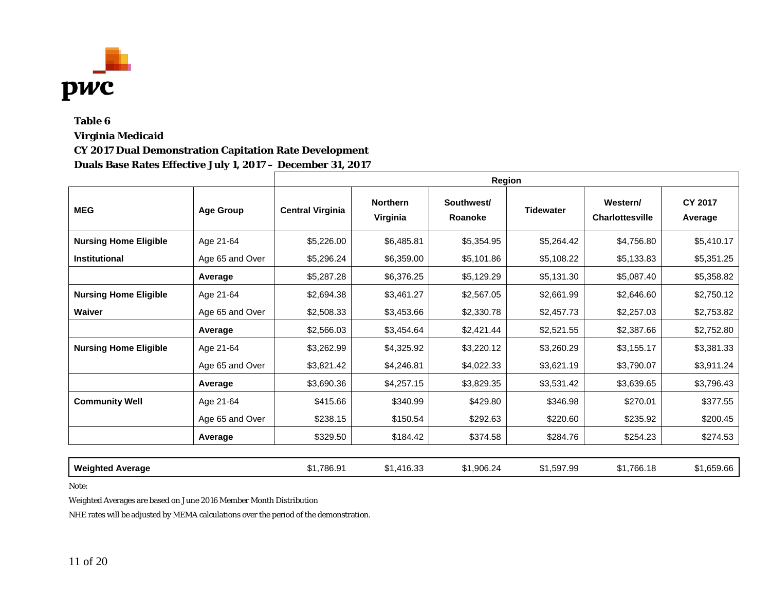

## **Table 6 Virginia Medicaid CY 2017 Dual Demonstration Capitation Rate Development Duals Base Rates Effective July 1, 2017 – December 31, 2017**

|                              |                  | Region                  |                             |                       |                  |                                    |                           |
|------------------------------|------------------|-------------------------|-----------------------------|-----------------------|------------------|------------------------------------|---------------------------|
| <b>MEG</b>                   | <b>Age Group</b> | <b>Central Virginia</b> | <b>Northern</b><br>Virginia | Southwest/<br>Roanoke | <b>Tidewater</b> | Western/<br><b>Charlottesville</b> | <b>CY 2017</b><br>Average |
| <b>Nursing Home Eligible</b> | Age 21-64        | \$5,226.00              | \$6,485.81                  | \$5,354.95            | \$5,264.42       | \$4,756.80                         | \$5,410.17                |
| <b>Institutional</b>         | Age 65 and Over  | \$5,296.24              | \$6,359.00                  | \$5,101.86            | \$5,108.22       | \$5,133.83                         | \$5,351.25                |
|                              | Average          | \$5,287.28              | \$6,376.25                  | \$5,129.29            | \$5,131.30       | \$5,087.40                         | \$5,358.82                |
| <b>Nursing Home Eligible</b> | Age 21-64        | \$2,694.38              | \$3,461.27                  | \$2,567.05            | \$2,661.99       | \$2,646.60                         | \$2,750.12                |
| <b>Waiver</b>                | Age 65 and Over  | \$2,508.33              | \$3,453.66                  | \$2,330.78            | \$2,457.73       | \$2,257.03                         | \$2,753.82                |
|                              | Average          | \$2,566.03              | \$3,454.64                  | \$2,421.44            | \$2,521.55       | \$2,387.66                         | \$2,752.80                |
| <b>Nursing Home Eligible</b> | Age 21-64        | \$3,262.99              | \$4,325.92                  | \$3,220.12            | \$3,260.29       | \$3,155.17                         | \$3,381.33                |
|                              | Age 65 and Over  | \$3,821.42              | \$4,246.81                  | \$4,022.33            | \$3,621.19       | \$3,790.07                         | \$3,911.24                |
|                              | Average          | \$3,690.36              | \$4,257.15                  | \$3,829.35            | \$3,531.42       | \$3,639.65                         | \$3,796.43                |
| <b>Community Well</b>        | Age 21-64        | \$415.66                | \$340.99                    | \$429.80              | \$346.98         | \$270.01                           | \$377.55                  |
|                              | Age 65 and Over  | \$238.15                | \$150.54                    | \$292.63              | \$220.60         | \$235.92                           | \$200.45                  |
|                              | Average          | \$329.50                | \$184.42                    | \$374.58              | \$284.76         | \$254.23                           | \$274.53                  |
|                              |                  |                         |                             |                       |                  |                                    |                           |
| <b>Weighted Average</b>      |                  | \$1,786.91              | \$1,416.33                  | \$1,906.24            | \$1,597.99       | \$1,766.18                         | \$1,659.66                |

Note:

Weighted Averages are based on June 2016 Member Month Distribution

NHE rates will be adjusted by MEMA calculations over the period of the demonstration.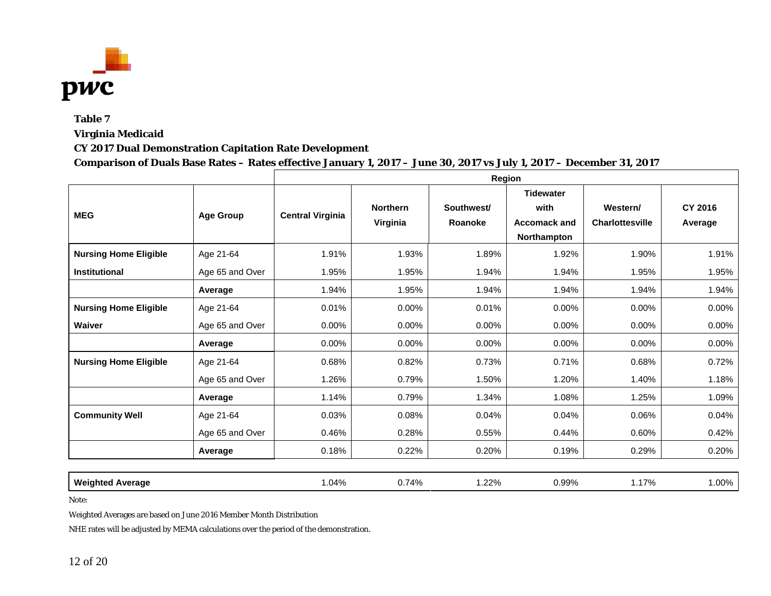

**Virginia Medicaid**

### **CY 2017 Dual Demonstration Capitation Rate Development**

#### **Comparison of Duals Base Rates – Rates effective January 1, 2017 – June 30, 2017 vs July 1, 2017 – December 31, 2017**

|                              |                  | Region                  |                             |                       |                                                                |                                    |                    |  |
|------------------------------|------------------|-------------------------|-----------------------------|-----------------------|----------------------------------------------------------------|------------------------------------|--------------------|--|
| <b>MEG</b>                   | <b>Age Group</b> | <b>Central Virginia</b> | <b>Northern</b><br>Virginia | Southwest/<br>Roanoke | <b>Tidewater</b><br>with<br><b>Accomack and</b><br>Northampton | Western/<br><b>Charlottesville</b> | CY 2016<br>Average |  |
| <b>Nursing Home Eligible</b> | Age 21-64        | 1.91%                   | 1.93%                       | 1.89%                 | 1.92%                                                          | 1.90%                              | 1.91%              |  |
| <b>Institutional</b>         | Age 65 and Over  | 1.95%                   | 1.95%                       | 1.94%                 | 1.94%                                                          | 1.95%                              | 1.95%              |  |
|                              | Average          | 1.94%                   | 1.95%                       | 1.94%                 | 1.94%                                                          | 1.94%                              | 1.94%              |  |
| <b>Nursing Home Eligible</b> | Age 21-64        | 0.01%                   | $0.00\%$                    | 0.01%                 | 0.00%                                                          | $0.00\%$                           | 0.00%              |  |
| Waiver                       | Age 65 and Over  | $0.00\%$                | $0.00\%$                    | 0.00%                 | $0.00\%$                                                       | $0.00\%$                           | 0.00%              |  |
|                              | Average          | $0.00\%$                | $0.00\%$                    | 0.00%                 | 0.00%                                                          | $0.00\%$                           | 0.00%              |  |
| <b>Nursing Home Eligible</b> | Age 21-64        | 0.68%                   | 0.82%                       | 0.73%                 | 0.71%                                                          | 0.68%                              | 0.72%              |  |
|                              | Age 65 and Over  | 1.26%                   | 0.79%                       | 1.50%                 | 1.20%                                                          | 1.40%                              | 1.18%              |  |
|                              | Average          | 1.14%                   | 0.79%                       | 1.34%                 | 1.08%                                                          | 1.25%                              | 1.09%              |  |
| <b>Community Well</b>        | Age 21-64        | 0.03%                   | 0.08%                       | 0.04%                 | 0.04%                                                          | 0.06%                              | 0.04%              |  |
|                              | Age 65 and Over  | 0.46%                   | 0.28%                       | 0.55%                 | 0.44%                                                          | 0.60%                              | 0.42%              |  |
|                              | Average          | 0.18%                   | 0.22%                       | 0.20%                 | 0.19%                                                          | 0.29%                              | 0.20%              |  |
|                              |                  |                         |                             |                       |                                                                |                                    |                    |  |
| <b>Weighted Average</b>      |                  | 1.04%                   | 0.74%                       | 1.22%                 | 0.99%                                                          | 1.17%                              | 1.00%              |  |

Note:

Weighted Averages are based on June 2016 Member Month Distribution

NHE rates will be adjusted by MEMA calculations over the period of the demonstration.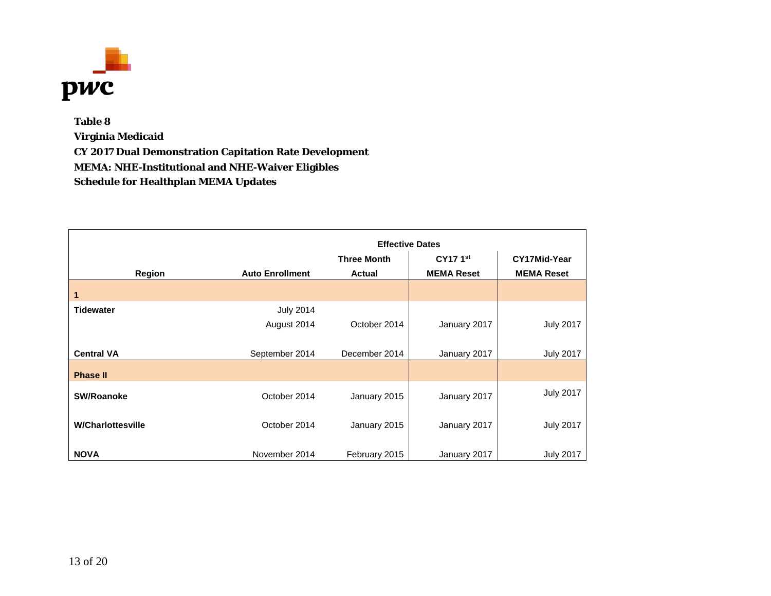

**Table 8 Virginia Medicaid CY 2017 Dual Demonstration Capitation Rate Development MEMA: NHE-Institutional and NHE-Waiver Eligibles Schedule for Healthplan MEMA Updates**

|                          |                        | <b>Effective Dates</b> |                      |                   |  |  |  |  |  |
|--------------------------|------------------------|------------------------|----------------------|-------------------|--|--|--|--|--|
|                          |                        | <b>Three Month</b>     | CY17 1 <sup>st</sup> | CY17Mid-Year      |  |  |  |  |  |
| <b>Region</b>            | <b>Auto Enrollment</b> | <b>Actual</b>          | <b>MEMA Reset</b>    | <b>MEMA Reset</b> |  |  |  |  |  |
| 1                        |                        |                        |                      |                   |  |  |  |  |  |
| <b>Tidewater</b>         | <b>July 2014</b>       |                        |                      |                   |  |  |  |  |  |
|                          | August 2014            | October 2014           | January 2017         | <b>July 2017</b>  |  |  |  |  |  |
|                          |                        |                        |                      |                   |  |  |  |  |  |
| <b>Central VA</b>        | September 2014         | December 2014          | January 2017         | <b>July 2017</b>  |  |  |  |  |  |
| <b>Phase II</b>          |                        |                        |                      |                   |  |  |  |  |  |
| <b>SW/Roanoke</b>        | October 2014           | January 2015           | January 2017         | <b>July 2017</b>  |  |  |  |  |  |
|                          |                        |                        |                      |                   |  |  |  |  |  |
| <b>W/Charlottesville</b> | October 2014           | January 2015           | January 2017         | <b>July 2017</b>  |  |  |  |  |  |
|                          |                        |                        |                      |                   |  |  |  |  |  |
| <b>NOVA</b>              | November 2014          | February 2015          | January 2017         | <b>July 2017</b>  |  |  |  |  |  |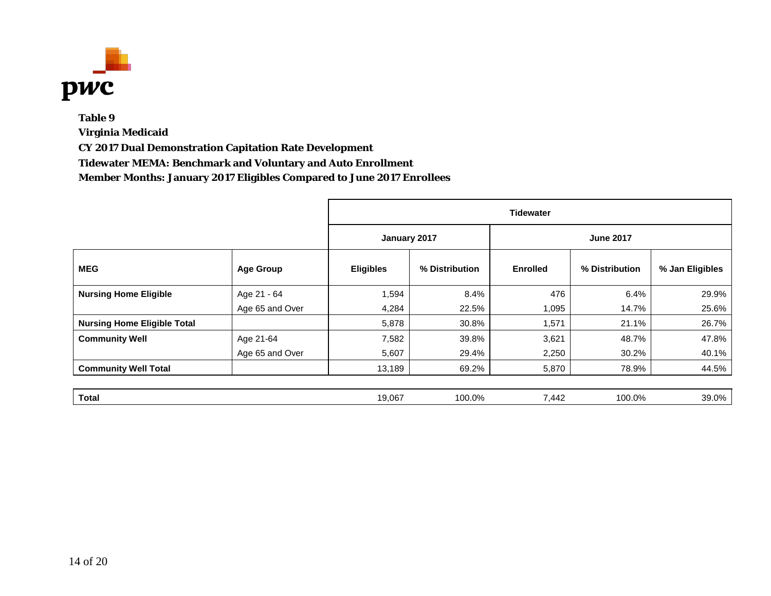

## **Table 9 Virginia Medicaid CY 2017 Dual Demonstration Capitation Rate Development Tidewater MEMA: Benchmark and Voluntary and Auto Enrollment Member Months: January 2017 Eligibles Compared to June 2017 Enrollees**

|                                    |                  |                                  | <b>Tidewater</b> |                 |                |                 |  |  |
|------------------------------------|------------------|----------------------------------|------------------|-----------------|----------------|-----------------|--|--|
|                                    |                  | January 2017<br><b>June 2017</b> |                  |                 |                |                 |  |  |
| <b>MEG</b>                         | <b>Age Group</b> | <b>Eligibles</b>                 | % Distribution   | <b>Enrolled</b> | % Distribution | % Jan Eligibles |  |  |
| <b>Nursing Home Eligible</b>       | Age 21 - 64      | 1,594                            | 8.4%             | 476             | 6.4%           | 29.9%           |  |  |
|                                    | Age 65 and Over  | 4,284                            | 22.5%            | 1,095           | 14.7%          | 25.6%           |  |  |
| <b>Nursing Home Eligible Total</b> |                  | 5,878                            | 30.8%            | 1,571           | 21.1%          | 26.7%           |  |  |
| <b>Community Well</b>              | Age 21-64        | 7,582                            | 39.8%            | 3,621           | 48.7%          | 47.8%           |  |  |
|                                    | Age 65 and Over  | 5,607                            | 29.4%            | 2,250           | 30.2%          | 40.1%           |  |  |
| <b>Community Well Total</b>        |                  | 13,189                           | 69.2%            | 5,870           | 78.9%          | 44.5%           |  |  |
|                                    |                  |                                  |                  |                 |                |                 |  |  |
| <b>Total</b>                       |                  | 19,067                           | 100.0%           | 7,442           | 100.0%         | 39.0%           |  |  |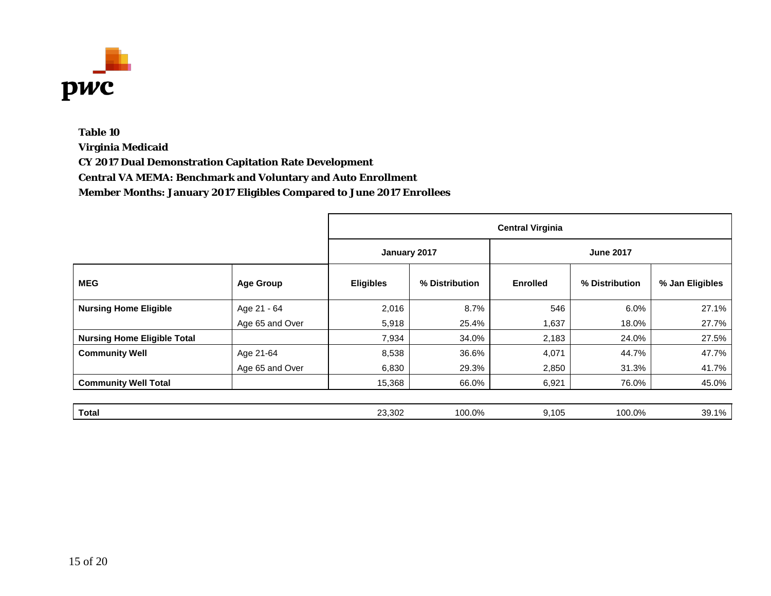

**Virginia Medicaid**

**CY 2017 Dual Demonstration Capitation Rate Development**

**Central VA MEMA: Benchmark and Voluntary and Auto Enrollment**

|                                    |                  |                                  | <b>Central Virginia</b> |                 |                |                 |  |  |
|------------------------------------|------------------|----------------------------------|-------------------------|-----------------|----------------|-----------------|--|--|
|                                    |                  | January 2017<br><b>June 2017</b> |                         |                 |                |                 |  |  |
| <b>MEG</b>                         | <b>Age Group</b> | <b>Eligibles</b>                 | % Distribution          | <b>Enrolled</b> | % Distribution | % Jan Eligibles |  |  |
| <b>Nursing Home Eligible</b>       | Age 21 - 64      | 2,016                            | 8.7%                    | 546             | 6.0%           | 27.1%           |  |  |
|                                    | Age 65 and Over  | 5,918                            | 25.4%                   | 1,637           | 18.0%          | 27.7%           |  |  |
| <b>Nursing Home Eligible Total</b> |                  | 7,934                            | 34.0%                   | 2,183           | 24.0%          | 27.5%           |  |  |
| <b>Community Well</b>              | Age 21-64        | 8,538                            | 36.6%                   | 4,071           | 44.7%          | 47.7%           |  |  |
|                                    | Age 65 and Over  | 6,830                            | 29.3%                   | 2,850           | 31.3%          | 41.7%           |  |  |
| <b>Community Well Total</b>        |                  | 15,368                           | 66.0%                   | 6,921           | 76.0%          | 45.0%           |  |  |
|                                    |                  |                                  |                         |                 |                |                 |  |  |
| <b>Total</b>                       |                  | 23,302                           | 100.0%                  | 9,105           | 100.0%         | 39.1%           |  |  |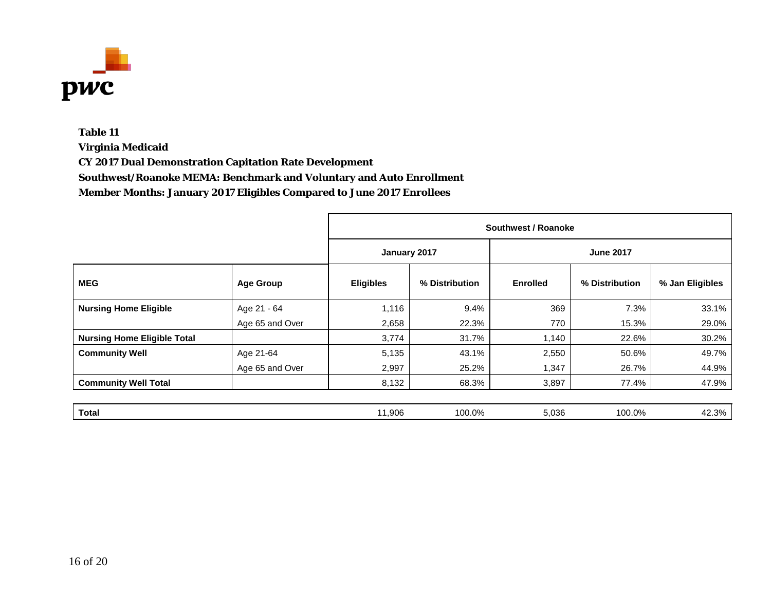

**Virginia Medicaid**

**CY 2017 Dual Demonstration Capitation Rate Development**

**Southwest/Roanoke MEMA: Benchmark and Voluntary and Auto Enrollment**

|                                    |                  |                  | Southwest / Roanoke |                 |                |                 |  |  |  |
|------------------------------------|------------------|------------------|---------------------|-----------------|----------------|-----------------|--|--|--|
|                                    |                  | January 2017     |                     |                 |                |                 |  |  |  |
| <b>MEG</b>                         | <b>Age Group</b> | <b>Eligibles</b> | % Distribution      | <b>Enrolled</b> | % Distribution | % Jan Eligibles |  |  |  |
| <b>Nursing Home Eligible</b>       | Age 21 - 64      | 1,116            | 9.4%                | 369             | 7.3%           | 33.1%           |  |  |  |
|                                    | Age 65 and Over  | 2,658            | 22.3%               | 770             | 15.3%          | 29.0%           |  |  |  |
| <b>Nursing Home Eligible Total</b> |                  | 3,774            | 31.7%               | 1,140           | 22.6%          | 30.2%           |  |  |  |
| <b>Community Well</b>              | Age 21-64        | 5,135            | 43.1%               | 2,550           | 50.6%          | 49.7%           |  |  |  |
|                                    | Age 65 and Over  | 2,997            | 25.2%               | 1,347           | 26.7%          | 44.9%           |  |  |  |
| <b>Community Well Total</b>        |                  | 8,132            | 68.3%               | 3,897           | 77.4%          | 47.9%           |  |  |  |
|                                    |                  |                  |                     |                 |                |                 |  |  |  |
| <b>Total</b>                       |                  | 11,906           | 100.0%              | 5,036           | 100.0%         | 42.3%           |  |  |  |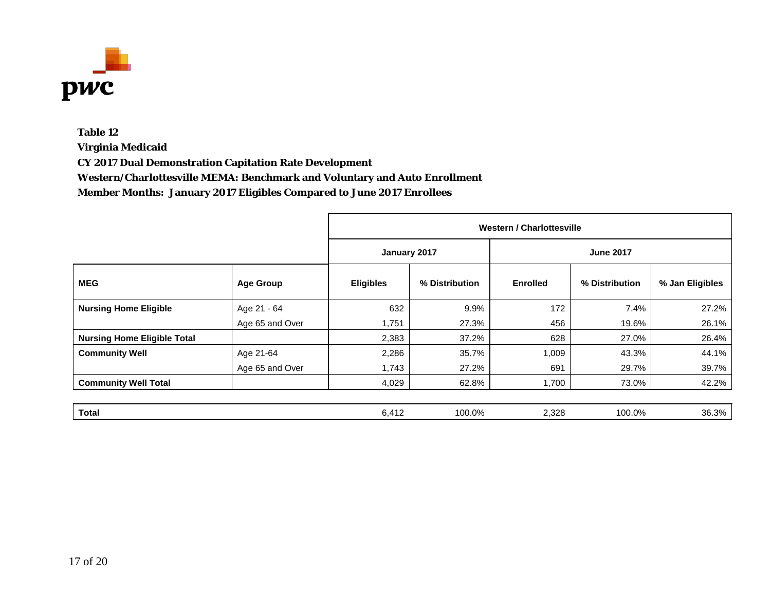

**Virginia Medicaid**

**CY 2017 Dual Demonstration Capitation Rate Development**

**Western/Charlottesville MEMA: Benchmark and Voluntary and Auto Enrollment**

|                                    |                  | <b>Western / Charlottesville</b> |                |                 |                  |                 |
|------------------------------------|------------------|----------------------------------|----------------|-----------------|------------------|-----------------|
|                                    |                  | January 2017                     |                |                 | <b>June 2017</b> |                 |
| <b>MEG</b>                         | <b>Age Group</b> | <b>Eligibles</b>                 | % Distribution | <b>Enrolled</b> | % Distribution   | % Jan Eligibles |
| <b>Nursing Home Eligible</b>       | Age 21 - 64      | 632                              | 9.9%           | 172             | 7.4%             | 27.2%           |
|                                    | Age 65 and Over  | 1,751                            | 27.3%          | 456             | 19.6%            | 26.1%           |
| <b>Nursing Home Eligible Total</b> |                  | 2,383                            | 37.2%          | 628             | 27.0%            | 26.4%           |
| <b>Community Well</b>              | Age 21-64        | 2,286                            | 35.7%          | 1,009           | 43.3%            | 44.1%           |
|                                    | Age 65 and Over  | 1,743                            | 27.2%          | 691             | 29.7%            | 39.7%           |
| <b>Community Well Total</b>        |                  | 4,029                            | 62.8%          | 1,700           | 73.0%            | 42.2%           |
|                                    |                  |                                  |                |                 |                  |                 |
| <b>Total</b>                       |                  | 6,412                            | 100.0%         | 2,328           | 100.0%           | 36.3%           |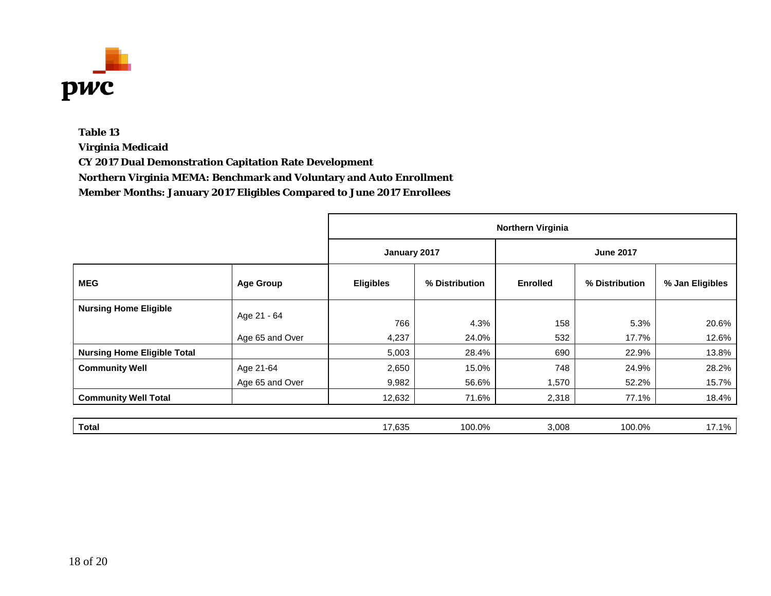

**Virginia Medicaid**

**CY 2017 Dual Demonstration Capitation Rate Development**

**Northern Virginia MEMA: Benchmark and Voluntary and Auto Enrollment**

|                                    |                  | <b>Northern Virginia</b> |                |                  |                |                 |  |
|------------------------------------|------------------|--------------------------|----------------|------------------|----------------|-----------------|--|
|                                    |                  | January 2017             |                | <b>June 2017</b> |                |                 |  |
| <b>MEG</b>                         | <b>Age Group</b> | <b>Eligibles</b>         | % Distribution | <b>Enrolled</b>  | % Distribution | % Jan Eligibles |  |
| <b>Nursing Home Eligible</b>       | Age 21 - 64      |                          |                |                  |                |                 |  |
|                                    |                  | 766                      | 4.3%           | 158              | 5.3%           | 20.6%           |  |
|                                    | Age 65 and Over  | 4,237                    | 24.0%          | 532              | 17.7%          | 12.6%           |  |
| <b>Nursing Home Eligible Total</b> |                  | 5,003                    | 28.4%          | 690              | 22.9%          | 13.8%           |  |
| <b>Community Well</b>              | Age 21-64        | 2,650                    | 15.0%          | 748              | 24.9%          | 28.2%           |  |
|                                    | Age 65 and Over  | 9,982                    | 56.6%          | 1,570            | 52.2%          | 15.7%           |  |
| <b>Community Well Total</b>        |                  | 12,632                   | 71.6%          | 2,318            | 77.1%          | 18.4%           |  |
|                                    |                  |                          |                |                  |                |                 |  |
| <b>Total</b>                       |                  | 17,635                   | 100.0%         | 3,008            | 100.0%         | 17.1%           |  |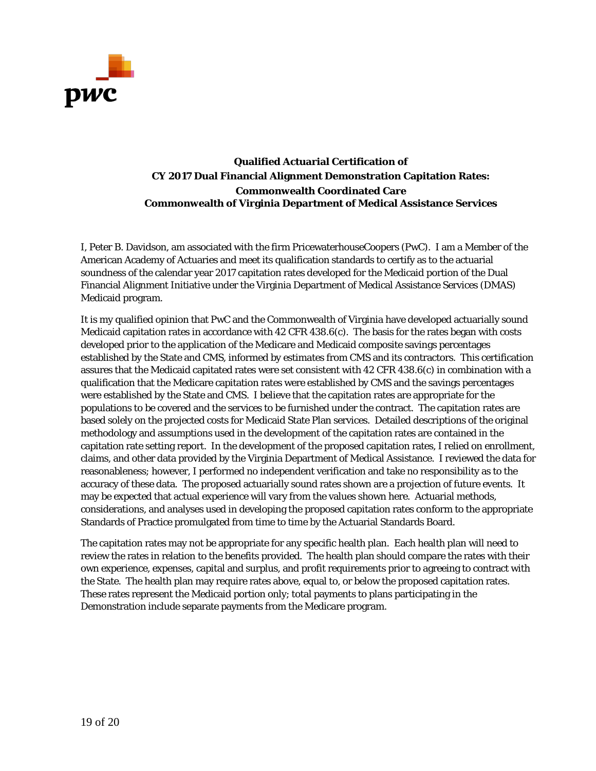

**Qualified Actuarial Certification of CY 2017 Dual Financial Alignment Demonstration Capitation Rates: Commonwealth Coordinated Care Commonwealth of Virginia Department of Medical Assistance Services**

I, Peter B. Davidson, am associated with the firm PricewaterhouseCoopers (PwC). I am a Member of the American Academy of Actuaries and meet its qualification standards to certify as to the actuarial soundness of the calendar year 2017 capitation rates developed for the Medicaid portion of the Dual Financial Alignment Initiative under the Virginia Department of Medical Assistance Services (DMAS) Medicaid program.

It is my qualified opinion that PwC and the Commonwealth of Virginia have developed actuarially sound Medicaid capitation rates in accordance with 42 CFR 438.6(c). The basis for the rates began with costs developed prior to the application of the Medicare and Medicaid composite savings percentages established by the State and CMS, informed by estimates from CMS and its contractors. This certification assures that the Medicaid capitated rates were set consistent with 42 CFR 438.6(c) in combination with a qualification that the Medicare capitation rates were established by CMS and the savings percentages were established by the State and CMS. I believe that the capitation rates are appropriate for the populations to be covered and the services to be furnished under the contract. The capitation rates are based solely on the projected costs for Medicaid State Plan services. Detailed descriptions of the original methodology and assumptions used in the development of the capitation rates are contained in the capitation rate setting report. In the development of the proposed capitation rates, I relied on enrollment, claims, and other data provided by the Virginia Department of Medical Assistance. I reviewed the data for reasonableness; however, I performed no independent verification and take no responsibility as to the accuracy of these data. The proposed actuarially sound rates shown are a projection of future events. It may be expected that actual experience will vary from the values shown here. Actuarial methods, considerations, and analyses used in developing the proposed capitation rates conform to the appropriate Standards of Practice promulgated from time to time by the Actuarial Standards Board.

The capitation rates may not be appropriate for any specific health plan. Each health plan will need to review the rates in relation to the benefits provided. The health plan should compare the rates with their own experience, expenses, capital and surplus, and profit requirements prior to agreeing to contract with the State. The health plan may require rates above, equal to, or below the proposed capitation rates. These rates represent the Medicaid portion only; total payments to plans participating in the Demonstration include separate payments from the Medicare program.